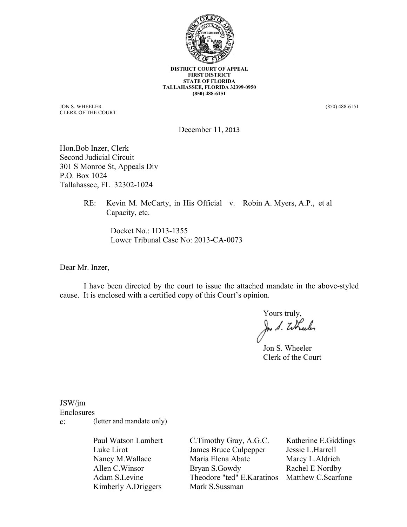

**DISTRICT COURT OF APPEAL FIRST DISTRICT STATE OF FLORIDA TALLAHASSEE, FLORIDA 32399-0950 (850) 488-6151**

JON S. WHEELER CLERK OF THE COURT

(850) 488-6151

December 11, 2013

Hon.Bob Inzer, Clerk Second Judicial Circuit 301 S Monroe St, Appeals Div P.O. Box 1024 Tallahassee, FL 32302-1024

> RE: Kevin M. McCarty, in His Official v. Robin A. Myers, A.P., et al Capacity, etc.

> > Docket No.: 1D13-1355 Lower Tribunal Case No: 2013-CA-0073

Dear Mr. Inzer,

I have been directed by the court to issue the attached mandate in the above-styled cause. It is enclosed with a certified copy of this Court's opinion.

Yours truly, In S. Wheeler

Jon S. Wheeler Clerk of the Court

JSW/jm

Enclosures

c: (letter and mandate only)

Paul Watson Lambert Luke Lirot Nancy M.Wallace Allen C.Winsor Adam S.Levine Kimberly A.Driggers

C.Timothy Gray, A.G.C. James Bruce Culpepper Maria Elena Abate Bryan S.Gowdy Theodore "ted" E.Karatinos Matthew C.ScarfoneMark S.Sussman

Katherine E.Giddings Jessie L.Harrell Marcy L.Aldrich Rachel E Nordby